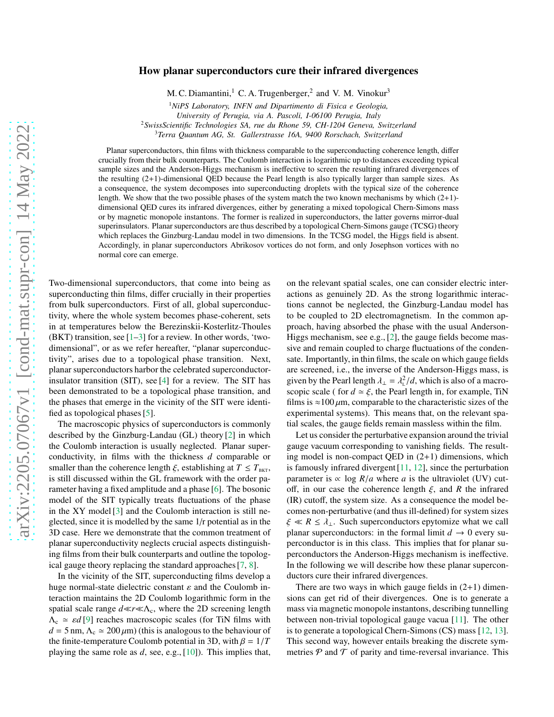## How planar superconductors cure their infrared divergences

M. C. Diamantini,<sup>1</sup> C. A. Trugenberger,<sup>2</sup> and V. M. Vinokur<sup>3</sup>

<sup>1</sup>*NiPS Laboratory, INFN and Dipartimento di Fisica e Geologia, University of Perugia, via A. Pascoli, I-06100 Perugia, Italy*

<sup>2</sup>*SwissScientific Technologies SA, rue du Rhone 59, CH-1204 Geneva, Switzerland*

<sup>3</sup>*Terra Quantum AG, St. Gallerstrasse 16A, 9400 Rorschach, Switzerland*

Planar superconductors, thin films with thickness comparable to the superconducting coherence length, differ crucially from their bulk counterparts. The Coulomb interaction is logarithmic up to distances exceeding typical sample sizes and the Anderson-Higgs mechanism is ineffective to screen the resulting infrared divergences of the resulting (2+1)-dimensional QED because the Pearl length is also typically larger than sample sizes. As a consequence, the system decomposes into superconducting droplets with the typical size of the coherence length. We show that the two possible phases of the system match the two known mechanisms by which (2+1) dimensional QED cures its infrared divergences, either by generating a mixed topological Chern-Simons mass or by magnetic monopole instantons. The former is realized in superconductors, the latter governs mirror-dual superinsulators. Planar superconductors are thus described by a topological Chern-Simons gauge (TCSG) theory which replaces the Ginzburg-Landau model in two dimensions. In the TCSG model, the Higgs field is absent. Accordingly, in planar superconductors Abrikosov vortices do not form, and only Josephson vortices with no normal core can emerge.

Two-dimensional superconductors, that come into being as superconducting thin films, differ crucially in their properties from bulk superconductors. First of all, global superconductivity, where the whole system becomes phase-coherent, sets in at temperatures below the Berezinskii-Kosterlitz-Thoules (BKT) transition, see  $[1-3]$  for a review. In other words, 'twodimensional", or as we refer hereafter, "planar superconductivity", arises due to a topological phase transition. Next, planar superconductors harbor the celebrated superconductorinsulator transition (SIT), see [\[4\]](#page-3-2) for a review. The SIT has been demonstrated to be a topological phase transition, and the phases that emerge in the vicinity of the SIT were identified as topological phases [\[5](#page-3-3)].

The macroscopic physics of superconductors is commonly described by the Ginzburg-Landau (GL) theory [\[2\]](#page-3-4) in which the Coulomb interaction is usually neglected. Planar superconductivity, in films with the thickness *d* comparable or smaller than the coherence length  $\xi$ , establishing at  $T \leq T_{BKT}$ , is still discussed within the GL framework with the order parameter having a fixed amplitude and a phase [\[6\]](#page-3-5). The bosonic model of the SIT typically treats fluctuations of the phase in the XY model [\[3\]](#page-3-1) and the Coulomb interaction is still neglected, since it is modelled by the same 1/r potential as in the 3D case. Here we demonstrate that the common treatment of planar superconductivity neglects crucial aspects distinguishing films from their bulk counterparts and outline the topological gauge theory replacing the standard approaches [\[7](#page-3-6), [8](#page-3-7)].

In the vicinity of the SIT, superconducting films develop a huge normal-state dielectric constant  $\varepsilon$  and the Coulomb interaction maintains the 2D Coulomb logarithmic form in the spatial scale range  $d \ll r \ll \Lambda_c$ , where the 2D screening length  $\Lambda_c \simeq \varepsilon d$  [\[9\]](#page-3-8) reaches macroscopic scales (for TiN films with  $d = 5$  nm,  $\Lambda_c \simeq 200 \,\mu\text{m}$ ) (this is analogous to the behaviour of the finite-temperature Coulomb potential in 3D, with  $\beta = 1/T$ playing the same role as *d*, see, e.g., [\[10\]](#page-3-9)). This implies that,

on the relevant spatial scales, one can consider electric interactions as genuinely 2D. As the strong logarithmic interactions cannot be neglected, the Ginzburg-Landau model has to be coupled to 2D electromagnetism. In the common approach, having absorbed the phase with the usual Anderson-Higgs mechanism, see e.g., [\[2\]](#page-3-4), the gauge fields become massive and remain coupled to charge fluctuations of the condensate. Importantly, in thin films, the scale on which gauge fields are screened, i.e., the inverse of the Anderson-Higgs mass, is given by the Pearl length  $\lambda_{\perp} = \lambda_{\perp}^2/d$ , which is also of a macroscopic scale ( for  $d \simeq \xi$ , the Pearl length in, for example, TiN films is  $\approx$ 100  $\mu$ m, comparable to the characteristic sizes of the experimental systems). This means that, on the relevant spatial scales, the gauge fields remain massless within the film.

Let us consider the perturbative expansion around the trivial gauge vacuum corresponding to vanishing fields. The resulting model is non-compact QED in (2+1) dimensions, which is famously infrared divergent [\[11](#page-3-10), [12](#page-3-11)], since the perturbation parameter is  $\propto \log R/a$  where *a* is the ultraviolet (UV) cutoff, in our case the coherence length ξ, and *R* the infrared (IR) cutoff, the system size. As a consequence the model becomes non-perturbative (and thus ill-defined) for system sizes  $\xi \ll R \leq \lambda_{\perp}$ . Such superconductors epytomize what we call planar superconductors: in the formal limit  $d \to 0$  every superconductor is in this class. This implies that for planar superconductors the Anderson-Higgs mechanism is ineffective. In the following we will describe how these planar superconductors cure their infrared divergences.

There are two ways in which gauge fields in  $(2+1)$  dimensions can get rid of their divergences. One is to generate a mass via magnetic monopole instantons, describing tunnelling between non-trivial topological gauge vacua [\[11\]](#page-3-10). The other is to generate a topological Chern-Simons (CS) mass [\[12,](#page-3-11) [13](#page-3-12)]. This second way, however entails breaking the discrete symmetries  $P$  and  $T$  of parity and time-reversal invariance. This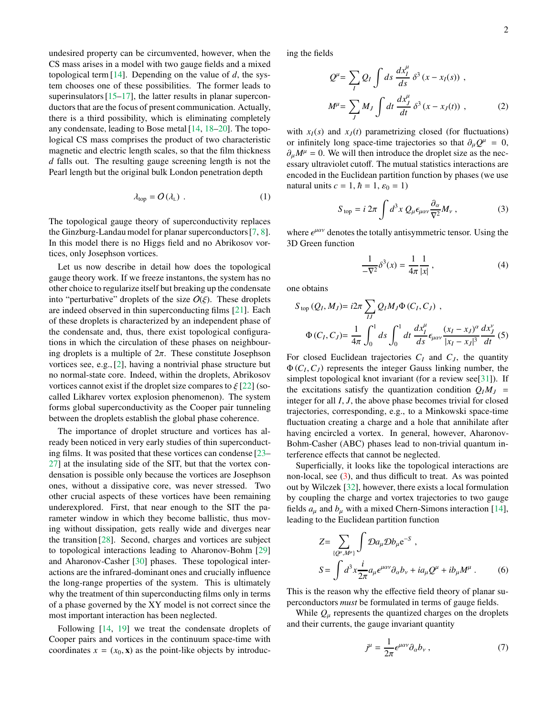undesired property can be circumvented, however, when the CS mass arises in a model with two gauge fields and a mixed topological term  $[14]$ . Depending on the value of  $d$ , the system chooses one of these possibilities. The former leads to superinsulators [\[15](#page-3-14)[–17](#page-3-15)], the latter results in planar superconductors that are the focus of present communication. Actually, there is a third possibility, which is eliminating completely any condensate, leading to Bose metal [\[14,](#page-3-13) [18](#page-3-16)[–20](#page-3-17)]. The topological CS mass comprises the product of two characteristic magnetic and electric length scales, so that the film thickness *d* falls out. The resulting gauge screening length is not the Pearl length but the original bulk London penetration depth

<span id="page-1-1"></span>
$$
\lambda_{\text{top}} = O(\lambda_{\text{L}}) \tag{1}
$$

The topological gauge theory of superconductivity replaces the Ginzburg-Landau model for planar superconductors [\[7,](#page-3-6) [8](#page-3-7)]. In this model there is no Higgs field and no Abrikosov vortices, only Josephson vortices.

Let us now describe in detail how does the topological gauge theory work. If we freeze instantons, the system has no other choice to regularize itself but breaking up the condensate into "perturbative" droplets of the size  $O(\xi)$ . These droplets are indeed observed in thin superconducting films [\[21\]](#page-3-18). Each of these droplets is characterized by an independent phase of the condensate and, thus, there exist topological configurations in which the circulation of these phases on neighbouring droplets is a multiple of  $2\pi$ . These constitute Josephson vortices see, e.g., [\[2\]](#page-3-4), having a nontrivial phase structure but no normal-state core. Indeed, within the droplets, Abrikosov vortices cannot exist if the droplet size compares to  $\xi$  [\[22](#page-3-19)] (socalled Likharev vortex explosion phenomenon). The system forms global superconductivity as the Cooper pair tunneling between the droplets establish the global phase coherence.

The importance of droplet structure and vortices has already been noticed in very early studies of thin superconducting films. It was posited that these vortices can condense [\[23](#page-3-20)– [27\]](#page-3-21) at the insulating side of the SIT, but that the vortex condensation is possible only because the vortices are Josephson ones, without a dissipative core, was never stressed. Two other crucial aspects of these vortices have been remaining underexplored. First, that near enough to the SIT the parameter window in which they become ballistic, thus moving without dissipation, gets really wide and diverges near the transition [\[28](#page-3-22)]. Second, charges and vortices are subject to topological interactions leading to Aharonov-Bohm [\[29\]](#page-3-23) and Aharonov-Casher [\[30\]](#page-4-0) phases. These topological interactions are the infrared-dominant ones and crucially influence the long-range properties of the system. This is ultimately why the treatment of thin superconducting films only in terms of a phase governed by the XY model is not correct since the most important interaction has been neglected.

Following [\[14,](#page-3-13) [19](#page-3-24)] we treat the condensate droplets of Cooper pairs and vortices in the continuum space-time with coordinates  $x = (x_0, \mathbf{x})$  as the point-like objects by introducing the fields

$$
Q^{\mu} = \sum_{I} Q_{I} \int ds \frac{dx_{I}^{\mu}}{ds} \delta^{3} (x - x_{I}(s)) ,
$$
  

$$
M^{\mu} = \sum_{J} M_{J} \int dt \frac{dx_{J}^{\mu}}{dt} \delta^{3} (x - x_{J}(t)) ,
$$
 (2)

with  $x_I(s)$  and  $x_J(t)$  parametrizing closed (for fluctuations) or infinitely long space-time trajectories so that  $\partial_\mu Q^\mu = 0$ ,  $\partial_{\mu}M^{\mu} = 0$ . We will then introduce the droplet size as the necessary ultraviolet cutoff. The mutual statistics interactions are encoded in the Euclidean partition function by phases (we use natural units  $c = 1$ ,  $\hbar = 1$ ,  $\varepsilon_0 = 1$ )

<span id="page-1-0"></span>
$$
S_{\text{top}} = i 2\pi \int d^3x \, Q_\mu \epsilon_{\mu\alpha\nu} \frac{\partial_\alpha}{\nabla^2} M_\nu \,, \tag{3}
$$

where  $\epsilon^{\mu\alpha\nu}$  denotes the totally antisymmetric tensor. Using the 3D Green function

$$
\frac{1}{-\nabla^2} \delta^3(x) = \frac{1}{4\pi} \frac{1}{|x|} \,, \tag{4}
$$

one obtains

$$
S_{\text{top}}(Q_I, M_J) = i2\pi \sum_{IJ} Q_I M_J \Phi(C_I, C_J) ,
$$
  
 
$$
\Phi(C_I, C_J) = \frac{1}{4\pi} \int_0^1 ds \int_0^1 dt \frac{dx_I^{\mu}}{ds} \epsilon_{\mu\alpha\nu} \frac{(x_I - x_J)^{\alpha}}{|x_I - x_J|^3} \frac{dx_J^{\nu}}{dt} (5)
$$

For closed Euclidean trajectories  $C_I$  and  $C_J$ , the quantity  $\Phi(C_I, C_J)$  represents the integer Gauss linking number, the simplest topological knot invariant (for a review see[\[31\]](#page-4-1)). If the excitations satisfy the quantization condition  $Q_I M_J$  = integer for all *I*, *J*, the above phase becomes trivial for closed trajectories, corresponding, e.g., to a Minkowski space-time fluctuation creating a charge and a hole that annihilate after having encircled a vortex. In general, however, Aharonov-Bohm-Casher (ABC) phases lead to non-trivial quantum interference effects that cannot be neglected.

Superficially, it looks like the topological interactions are non-local, see [\(3\)](#page-1-0), and thus difficult to treat. As was pointed out by Wilczek [\[32\]](#page-4-2), however, there exists a local formulation by coupling the charge and vortex trajectories to two gauge fields  $a_{\mu}$  and  $b_{\mu}$  with a mixed Chern-Simons interaction [\[14](#page-3-13)], leading to the Euclidean partition function

$$
Z = \sum_{\{Q^{\mu}, M^{\mu}\}} \int \mathcal{D}a_{\mu} \mathcal{D}b_{\mu} e^{-S} ,
$$
  

$$
S = \int d^{3}x \frac{i}{2\pi} a_{\mu} \epsilon^{\mu\alpha\nu} \partial_{\alpha} b_{\nu} + i a_{\mu} Q^{\mu} + i b_{\mu} M^{\mu} .
$$
 (6)

This is the reason why the effective field theory of planar superconductors *must* be formulated in terms of gauge fields.

While  $Q_{\mu}$  represents the quantized charges on the droplets and their currents, the gauge invariant quantity

$$
j^{\mu} = \frac{1}{2\pi} \epsilon^{\mu\alpha\nu} \partial_{\alpha} b_{\nu} , \qquad (7)
$$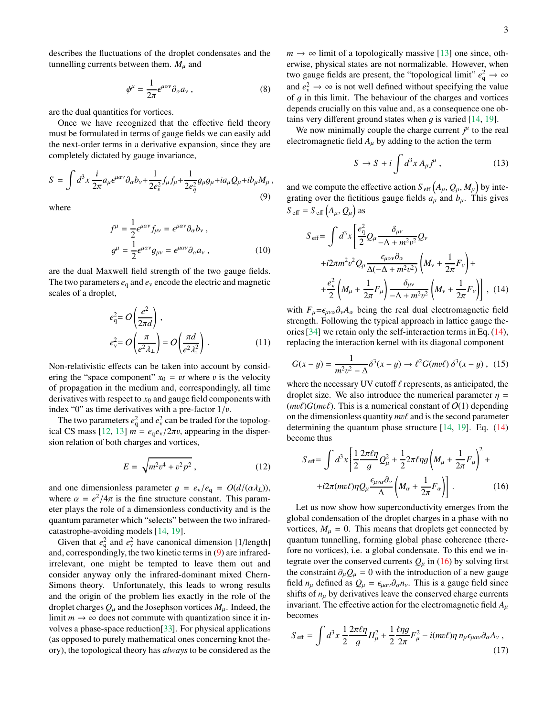describes the fluctuations of the droplet condensates and the tunnelling currents between them.  $M_{\mu}$  and

$$
\phi^{\mu} = \frac{1}{2\pi} \epsilon^{\mu a\nu} \partial_{\alpha} a_{\nu} , \qquad (8)
$$

are the dual quantities for vortices.

Once we have recognized that the effective field theory must be formulated in terms of gauge fields we can easily add the next-order terms in a derivative expansion, since they are completely dictated by gauge invariance,

<span id="page-2-0"></span>
$$
S = \int d^3x \frac{i}{2\pi} a_\mu \epsilon^{\mu\alpha\nu} \partial_\alpha b_\nu + \frac{1}{2e_\nu^2} f_\mu f_\mu + \frac{1}{2e_q^2} g_\mu g_\mu + i a_\mu Q_\mu + i b_\mu M_\mu ,
$$
\n(9)

where

$$
f^{\mu} = \frac{1}{2} \epsilon^{\mu \alpha \nu} f_{\mu \nu} = \epsilon^{\mu \alpha \nu} \partial_{\alpha} b_{\nu} ,
$$
  

$$
g^{\mu} = \frac{1}{2} \epsilon^{\mu \alpha \nu} g_{\mu \nu} = \epsilon^{\mu \alpha \nu} \partial_{\alpha} a_{\nu} ,
$$
 (10)

are the dual Maxwell field strength of the two gauge fields. The two parameters  $e_q$  and  $e_v$  encode the electric and magnetic scales of a droplet,

<span id="page-2-3"></span>
$$
e_{\mathbf{q}}^2 = O\left(\frac{e^2}{2\pi d}\right),
$$
  
\n
$$
e_{\mathbf{v}}^2 = O\left(\frac{\pi}{e^2 \lambda_\perp}\right) = O\left(\frac{\pi d}{e^2 \lambda_\perp^2}\right).
$$
 (11)

Non-relativistic effects can be taken into account by considering the "space component"  $x_0 = vt$  where v is the velocity of propagation in the medium and, correspondingly, all time derivatives with respect to  $x_0$  and gauge field components with index "0" as time derivatives with a pre-factor  $1/v$ .

The two parameters  $e_q^2$  and  $e_v^2$  can be traded for the topological CS mass  $[12, 13]$  $[12, 13]$  $[12, 13]$   $m = e_q e_v/2\pi v$ , appearing in the dispersion relation of both charges and vortices,

$$
E = \sqrt{m^2 v^4 + v^2 p^2},
$$
 (12)

and one dimensionless parameter  $g = e_v/e_q = O(d/(\alpha \lambda_L))$ , where  $\alpha = e^2/4\pi$  is the fine structure constant. This parameter plays the role of a dimensionless conductivity and is the quantum parameter which "selects" between the two infraredcatastrophe-avoiding models [\[14](#page-3-13), [19](#page-3-24)].

Given that  $e_q^2$  and  $e_v^2$  have canonical dimension [1/length] and, correspondingly, the two kinetic terms in [\(9\)](#page-2-0) are infraredirrelevant, one might be tempted to leave them out and consider anyway only the infrared-dominant mixed Chern-Simons theory. Unfortunately, this leads to wrong results and the origin of the problem lies exactly in the role of the droplet charges  $Q_{\mu}$  and the Josephson vortices  $M_{\mu}$ . Indeed, the limit  $m \to \infty$  does not commute with quantization since it involves a phase-space reduction[\[33\]](#page-4-3). For physical applications (as opposed to purely mathematical ones concerning knot theory), the topological theory has *always* to be considered as the  $m \rightarrow \infty$  limit of a topologically massive [\[13\]](#page-3-12) one since, otherwise, physical states are not normalizable. However, when two gauge fields are present, the "topological limit"  $e_q^2 \rightarrow \infty$ and  $e_v^2 \to \infty$  is not well defined without specifying the value of  $g$  in this limit. The behaviour of the charges and vortices depends crucially on this value and, as a consequence one obtains very different ground states when q is varied  $[14, 19]$  $[14, 19]$ .

We now minimally couple the charge current  $j<sup>\mu</sup>$  to the real electromagnetic field  $A_u$  by adding to the action the term

$$
S \to S + i \int d^3 x A_\mu j^\mu , \qquad (13)
$$

and we compute the effective action  $S_{\text{eff}}\left(A_{\mu}, Q_{\mu}, M_{\mu}\right)$  by integrating over the fictitious gauge fields  $a_{\mu}$  and  $b_{\mu}$ . This gives  $S_{\text{eff}} = S_{\text{eff}}(A_{\mu}, Q_{\mu})$  as

<span id="page-2-1"></span>
$$
S_{\text{eff}} = \int d^3x \left[ \frac{e_{\text{q}}^2}{2} Q_\mu \frac{\delta_{\mu\nu}}{-\Delta + m^2 v^2} Q_\nu \right. \n+ i2\pi m^2 v^2 Q_\mu \frac{\epsilon_{\mu\alpha\nu} \partial_\alpha}{\Delta(-\Delta + m^2 v^2)} \left( M_\nu + \frac{1}{2\pi} F_\nu \right) + \n+ \frac{e_{\text{v}}^2}{2} \left( M_\mu + \frac{1}{2\pi} F_\mu \right) \frac{\delta_{\mu\nu}}{-\Delta + m^2 v^2} \left( M_\nu + \frac{1}{2\pi} F_\nu \right) , \quad (14)
$$

with  $F_{\mu} = \epsilon_{\mu\nu\alpha}\partial_{\nu}A_{\alpha}$  being the real dual electromagnetic field strength. Following the typical approach in lattice gauge theories [\[34](#page-4-4)] we retain only the self-interaction terms in Eq. [\(14\)](#page-2-1), replacing the interaction kernel with its diagonal component

$$
G(x - y) = \frac{1}{m^2 v^2 - \Delta} \delta^3(x - y) \to \ell^2 G(mv\ell) \, \delta^3(x - y) \,, \tag{15}
$$

where the necessary UV cutoff  $\ell$  represents, as anticipated, the droplet size. We also introduce the numerical parameter  $\eta$  =  $(mv\ell)G(mv\ell)$ . This is a numerical constant of  $O(1)$  depending on the dimensionless quantity *m*vℓ and is the second parameter determining the quantum phase structure [\[14,](#page-3-13) [19](#page-3-24)]. Eq. [\(14\)](#page-2-1) become thus

<span id="page-2-2"></span>
$$
S_{\text{eff}} = \int d^3x \left[ \frac{1}{2} \frac{2\pi \ell \eta}{g} Q_{\mu}^2 + \frac{1}{2} 2\pi \ell \eta g \left( M_{\mu} + \frac{1}{2\pi} F_{\mu} \right)^2 + \right. \\
\left. + i2\pi (m v \ell) \eta Q_{\mu} \frac{\epsilon_{\mu\nu\alpha} \partial_{\nu}}{\Delta} \left( M_{\alpha} + \frac{1}{2\pi} F_{\alpha} \right) \right] \,. \tag{16}
$$

Let us now show how superconductivity emerges from the global condensation of the droplet charges in a phase with no vortices,  $M_u = 0$ . This means that droplets get connected by quantum tunnelling, forming global phase coherence (therefore no vortices), i.e. a global condensate. To this end we integrate over the conserved currents  $Q_{\mu}$  in [\(16\)](#page-2-2) by solving first the constraint  $\partial_{\mu}Q_{\mu} = 0$  with the introduction of a new gauge field  $n_{\mu}$  defined as  $Q_{\mu} = \epsilon_{\mu\alpha\nu}\partial_{\alpha}n_{\nu}$ . This is a gauge field since shifts of  $n_{\mu}$  by derivatives leave the conserved charge currents invariant. The effective action for the electromagnetic field  $A_{\mu}$ becomes

$$
S_{\text{eff}} = \int d^3x \, \frac{1}{2} \frac{2\pi \ell \eta}{g} H_{\mu}^2 + \frac{1}{2} \frac{\ell \eta g}{2\pi} F_{\mu}^2 - i(mv\ell)\eta \, n_{\mu} \epsilon_{\mu\alpha\nu} \partial_{\alpha} A_{\nu} \,,
$$
\n(17)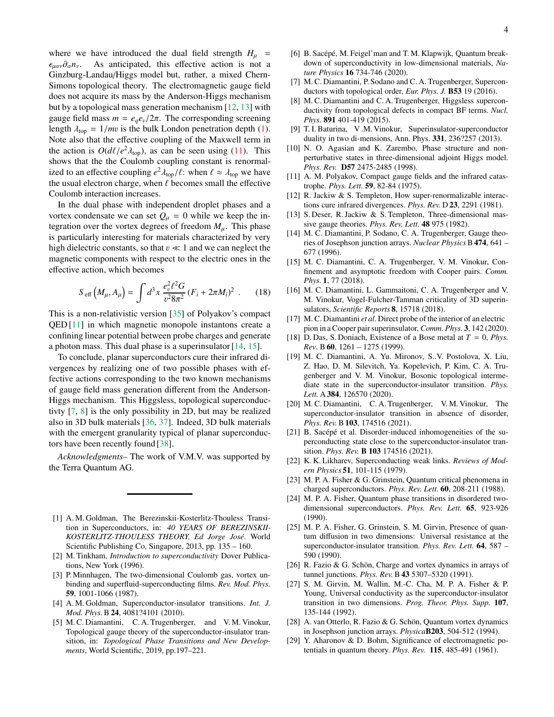where we have introduced the dual field strength  $H_{\mu}$  =  $\epsilon_{\mu\alpha\nu}\partial_{\alpha}n_{\nu}$ . As anticipated, this effective action is not a Ginzburg-Landau/Higgs model but, rather, a mixed Chern-Simons topological theory. The electromagnetic gauge field does not acquire its mass by the Anderson-Higgs mechanism but by a topological mass generation mechanism [\[12](#page-3-11), [13\]](#page-3-12) with gauge field mass  $m = e_q e_v/2\pi$ . The corresponding screening length  $\lambda_{top} = 1/mv$  is the bulk London penetration depth [\(1\)](#page-1-1). Note also that the effective coupling of the Maxwell term in the action is  $O(d\ell/e^2\lambda_{\text{top}})$ , as can be seen using [\(11\)](#page-2-3). This shows that the the Coulomb coupling constant is renormalized to an effective coupling  $e^2 \lambda_{\text{top}}/\ell$ : when  $\ell \approx \lambda_{\text{top}}$  we have the usual electron charge, when  $\ell$  becomes small the effective Coulomb interaction increases.

In the dual phase with independent droplet phases and a vortex condensate we can set  $Q_{\mu} = 0$  while we keep the integration over the vortex degrees of freedom  $M_{\mu}$ . This phase is particularly interesting for materials characterized by very high dielectric constants, so that  $v \ll 1$  and we can neglect the magnetic components with respect to the electric ones in the effective action, which becomes

$$
S_{\text{eff}}\left(M_{\mu}, A_{\mu}\right) = \int d^{3}x \, \frac{e_{v}^{2} \ell^{2} G}{v^{2} 8\pi^{2}} \left(F_{i} + 2\pi M_{i}\right)^{2} \ . \tag{18}
$$

This is a non-relativistic version [\[35\]](#page-4-5) of Polyakov's compact QED [\[11\]](#page-3-10) in which magnetic monopole instantons create a confining linear potential between probe charges and generate a photon mass. This dual phase is a superinsulator [\[14](#page-3-13), [15](#page-3-14)].

To conclude, planar superconductors cure their infrared divergences by realizing one of two possible phases with effective actions corresponding to the two known mechanisms of gauge field mass generation different from the Anderson-Higgs mechanism. This Higgsless, topological superconductivty [\[7,](#page-3-6) [8\]](#page-3-7) is the only possibility in 2D, but may be realized also in 3D bulk materials [\[36,](#page-4-6) [37\]](#page-4-7). Indeed, 3D bulk materials with the emergent granularity typical of planar superconductors have been recently found [\[38\]](#page-4-8).

*Acknowledgments–* The work of V.M.V. was supported by the Terra Quantum AG.

- <span id="page-3-0"></span>[1] A. M. Goldman, The Berezinskii-Kosterlitz-Thouless Transition in Superconductors, in: *40 YEARS OF BEREZINSKII-*KOSTERLITZ-THOULESS THEORY, Ed Jorge José. World Scientific Publishing Co, Singapore, 2013, pp. 135 – 160.
- <span id="page-3-4"></span>[2] M. Tinkham, *Introduction to superconductivity* Dover Publications, New York (1996).
- <span id="page-3-1"></span>[3] P. Minnhagen, The two-dimensional Coulomb gas, vortex unbinding and superfluid-superconducting films. *Rev. Mod. Phys.* 59, 1001-1066 (1987).
- <span id="page-3-2"></span>[4] A. M. Goldman, Superconductor-insulator transitions. *Int. J. Mod. Phys*. B 24, 4081?4101 (2010).
- <span id="page-3-3"></span>[5] M. C. Diamantini, C. A. Trugenberger, and V. M. Vinokur, Topological gauge theory of the superconductor-insulator transition, in: *Topological Phase Transitions and New Developments*, World Scientific, 2019, pp.197–221.
- <span id="page-3-5"></span>[6] B. Sacépé, M. Feigel'man and T. M. Klapwijk, Quantum breakdown of superconductivity in low-dimensional materials, *Nature Physics* 16 734-746 (2020).
- <span id="page-3-6"></span>[7] M. C. Diamantini, P. Sodano and C. A. Trugenberger, Superconductors with topological order, *Eur. Phys. J.* B53 19 (2016).
- <span id="page-3-7"></span>[8] M. C. Diamantini and C. A. Trugenberger, Higgsless superconductivity from topological defects in compact BF terms. *Nucl. Phys.* 891 401-419 (2015).
- <span id="page-3-8"></span>[9] T. I. Baturina, V .M. Vinokur, Superinsulator-superconductor duality in two di-mensions, Ann. Phys. 331, 236?257 (2013).
- <span id="page-3-9"></span>[10] N. O. Agasian and K. Zarembo, Phase structure and nonperturbative states in three-dimensional adjoint Higgs model. *Phys. Rev.* D57 2475-2485 (1998).
- <span id="page-3-10"></span>[11] A. M. Polyakov, Compact gauge fields and the infrared catastrophe. *Phys. Lett.* 59, 82-84 (1975).
- <span id="page-3-11"></span>[12] R. Jackiw & S. Templeton, How super-renormalizable interactions cure infrared divergences. *Phys. Rev.* D 23, 2291 (1981).
- <span id="page-3-12"></span>[13] S. Deser, R. Jackiw & S. Templeton, Three-dimensional massive gauge theories. *Phys. Rev. Lett.* 48 975 (1982).
- <span id="page-3-13"></span>[14] M. C. Diamantini, P. Sodano, C. A. Trugenberger, Gauge theories of Josephson junction arrays. *Nuclear Physics* B474, 641 – 677 (1996).
- <span id="page-3-14"></span>[15] M. C. Diamantini, C. A. Trugenberger, V. M. Vinokur, Confinement and asymptotic freedom with Cooper pairs. *Comm. Phys.* 1, 77 (2018).
- [16] M. C. Diamantini, L. Gammaitoni, C. A. Trugenberger and V. M. Vinokur, Vogel-Fulcher-Tamman criticality of 3D superinsulators, *Scientific Reports* 8, 15718 (2018).
- <span id="page-3-15"></span>[17] M. C. Diamantini *et al*. Direct probe of the interior of an electric pion in a Cooper pair superinsulator, *Comm. Phys.* 3, 142 (2020).
- <span id="page-3-16"></span>[18] D. Das, S. Doniach, Existence of a Bose metal at  $T = 0$ , *Phys. Rev*. B60, 1261 – 1275 (1999).
- <span id="page-3-24"></span>[19] M. C. Diamantini, A. Yu. Mironov, S..V. Postolova, X. Liu, Z. Hao, D. M. Silevitch, Ya. Kopelevich, P. Kim, C. A. Trugenberger and V. M. Vinokur, Bosonic topological intermediate state in the superconductor-insulator transition. *Phys. Lett.* A 384, 126570 (2020).
- <span id="page-3-17"></span>[20] M. C. Diamantini, C. A. Trugenberger, V. M. Vinokur, The superconductor-insulator transition in absence of disorder, *Phys. Rev.* B103, 174516 (2021).
- <span id="page-3-18"></span>[21] B. Sacépé et al. Disorder-induced inhomogeneities of the superconducting state close to the superconductor-insulator transition. *Phys. Rev.* B 103 174516 (2021).
- <span id="page-3-19"></span>[22] K. K. Likharev, Superconducting weak links. *Reviews of Modern Physics* 51, 101-115 (1979).
- <span id="page-3-20"></span>[23] M. P. A. Fisher & G. Grinstein, Quantum critical phenomena in charged superconductors. *Phys. Rev. Lett.* 60, 208-211 (1988).
- [24] M. P. A. Fisher, Quantum phase transitions in disordered twodimensional superconductors. *Phys. Rev. Lett.* 65, 923-926 (1990).
- [25] M. P. A. Fisher, G. Grinstein, S. M. Girvin, Presence of quantum diffusion in two dimensions: Universal resistance at the superconductor-insulator transition. *Phys. Rev. Lett.* 64, 587 – 590 (1990).
- [26] R. Fazio & G. Schön, Charge and vortex dynamics in arrays of tunnel junctions. *Phys. Rev.*B 43 5307–5320 (1991).
- <span id="page-3-21"></span>[27] S. M. Girvin, M. Wallin, M.-C. Cha, M. P. A. Fisher & P. Young, Universal conductivity as the superconductor-insulator transition in two dimensions. *Prog. Theor. Phys. Supp.* 107, 135-144 (1992).
- <span id="page-3-22"></span>[28] A. van Otterlo, R. Fazio & G. Schön, Quantum vortex dynamics in Josephson junction arrays. *Physica*B203, 504-512 (1994).
- <span id="page-3-23"></span>[29] Y. Aharonov & D. Bohm, Significance of electromagnetic potentials in quantum theory. *Phys. Rev.* 115, 485-491 (1961).